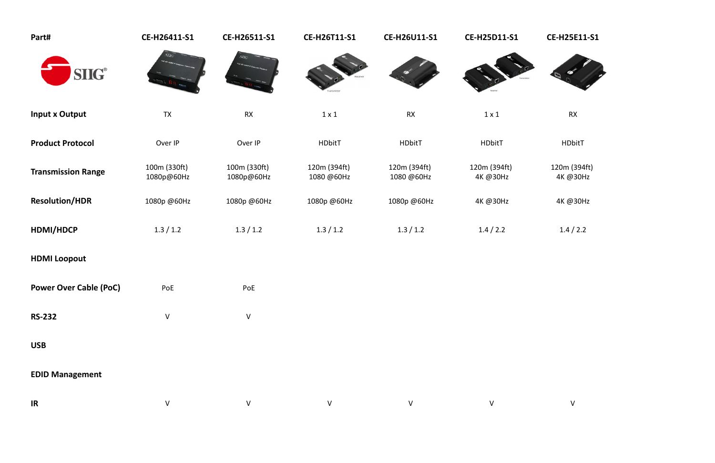| Part#                         | CE-H26411-S1               | CE-H26511-S1               | CE-H26T11-S1               | CE-H26U11-S1               | CE-H25D11-S1             | <b>CE-H25E11-S1</b>      |
|-------------------------------|----------------------------|----------------------------|----------------------------|----------------------------|--------------------------|--------------------------|
| <b>SIIG®</b>                  |                            |                            |                            |                            |                          |                          |
| <b>Input x Output</b>         | <b>TX</b>                  | RX                         | $1 \times 1$               | <b>RX</b>                  | $1 \times 1$             | <b>RX</b>                |
| <b>Product Protocol</b>       | Over IP                    | Over IP                    | HDbitT                     | <b>HDbitT</b>              | <b>HDbitT</b>            | HDbitT                   |
| <b>Transmission Range</b>     | 100m (330ft)<br>1080p@60Hz | 100m (330ft)<br>1080p@60Hz | 120m (394ft)<br>1080 @60Hz | 120m (394ft)<br>1080 @60Hz | 120m (394ft)<br>4K @30Hz | 120m (394ft)<br>4K @30Hz |
| <b>Resolution/HDR</b>         | 1080p @60Hz                | 1080p @60Hz                | 1080p @60Hz                | 1080p @60Hz                | 4K @30Hz                 | 4K @30Hz                 |
| HDMI/HDCP                     | 1.3 / 1.2                  | 1.3 / 1.2                  | 1.3 / 1.2                  | 1.3 / 1.2                  | 1.4 / 2.2                | 1.4 / 2.2                |
| <b>HDMI Loopout</b>           |                            |                            |                            |                            |                          |                          |
| <b>Power Over Cable (PoC)</b> | PoE                        | PoE                        |                            |                            |                          |                          |
| <b>RS-232</b>                 | $\vee$                     | $\vee$                     |                            |                            |                          |                          |
| <b>USB</b>                    |                            |                            |                            |                            |                          |                          |
| <b>EDID Management</b>        |                            |                            |                            |                            |                          |                          |
| IR                            | V                          | $\vee$                     | $\vee$                     | V                          | $\sf V$                  | V                        |

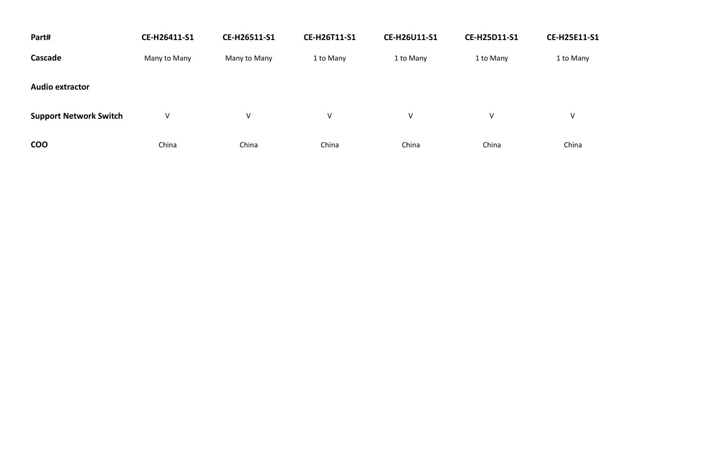| Part#                         | CE-H26411-S1 | CE-H26511-S1 | CE-H26T11-S1 | <b>CE-H26U11-S1</b> | <b>CE-H25D11-S1</b> | <b>CE-H25E11-S1</b> |
|-------------------------------|--------------|--------------|--------------|---------------------|---------------------|---------------------|
| Cascade                       | Many to Many | Many to Many | 1 to Many    | 1 to Many           | 1 to Many           | 1 to Many           |
| <b>Audio extractor</b>        |              |              |              |                     |                     |                     |
| <b>Support Network Switch</b> | $\vee$       | V            | $\vee$       | V                   | V                   | V                   |
| <b>COO</b>                    | China        | China        | China        | China               | China               | China               |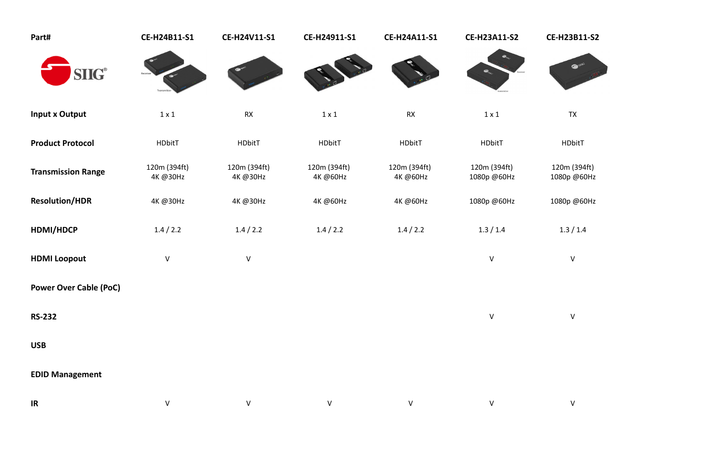# **CE-H24B11-S1 CE-H24V11-S1 CE-H24911-S1 CE-H24A11-S1 CE-H23A11-S2 CE-H23B11-S2**



| Part#                         | CE-H24B11-S1             | <b>CE-H24V11-S1</b>      | CE-H24911-S1             | <b>CE-H24A11-S1</b>      | <b>CE-H23A11-S2</b>         | <b>CE-H23B11</b>       |
|-------------------------------|--------------------------|--------------------------|--------------------------|--------------------------|-----------------------------|------------------------|
| <b>SIIG®</b>                  |                          |                          |                          |                          |                             | <b>CO SINCE</b>        |
| <b>Input x Output</b>         | $1 \times 1$             | <b>RX</b>                | $1 \times 1$             | <b>RX</b>                | $1 \times 1$                | <b>TX</b>              |
| <b>Product Protocol</b>       | <b>HDbitT</b>            | HDbitT                   | <b>HDbitT</b>            | HDbitT                   | <b>HDbitT</b>               | <b>HDbitT</b>          |
| <b>Transmission Range</b>     | 120m (394ft)<br>4K @30Hz | 120m (394ft)<br>4K @30Hz | 120m (394ft)<br>4K @60Hz | 120m (394ft)<br>4K @60Hz | 120m (394ft)<br>1080p @60Hz | 120m (394<br>1080p @60 |
| <b>Resolution/HDR</b>         | 4K @30Hz                 | 4K @30Hz                 | 4K @60Hz                 | 4K @60Hz                 | 1080p @60Hz                 | 1080p @60              |
| HDMI/HDCP                     | 1.4 / 2.2                | 1.4 / 2.2                | 1.4 / 2.2                | 1.4 / 2.2                | 1.3 / 1.4                   | 1.3 / 1.4              |
| <b>HDMI Loopout</b>           | $\sf V$                  | $\sf V$                  |                          |                          | $\mathsf V$                 | $\mathsf{V}$           |
| <b>Power Over Cable (PoC)</b> |                          |                          |                          |                          |                             |                        |
| <b>RS-232</b>                 |                          |                          |                          |                          | $\sf V$                     | $\vee$                 |
| <b>USB</b>                    |                          |                          |                          |                          |                             |                        |
| <b>EDID Management</b>        |                          |                          |                          |                          |                             |                        |
| IR                            | $\sf V$                  | $\vee$                   | $\vee$                   | $\vee$                   | V                           | $\vee$                 |

## 120m (394ft) 1080p @60Hz

## 4K @30Hz 4K @30Hz 4K @60Hz 4K @60Hz 1080p @60Hz 1080p @60Hz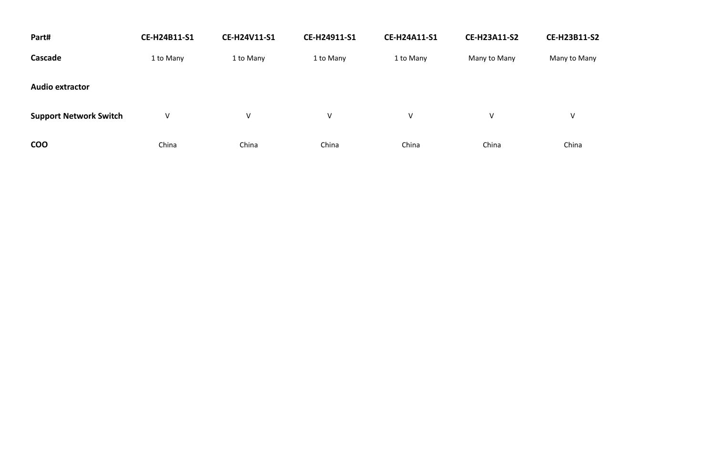| Part#                         | CE-H24B11-S1 | <b>CE-H24V11-S1</b> | CE-H24911-S1 | <b>CE-H24A11-S1</b> | <b>CE-H23A11-S2</b> | <b>CE-H23B11-S2</b> |
|-------------------------------|--------------|---------------------|--------------|---------------------|---------------------|---------------------|
| Cascade                       | 1 to Many    | 1 to Many           | 1 to Many    | 1 to Many           | Many to Many        | Many to Many        |
| <b>Audio extractor</b>        |              |                     |              |                     |                     |                     |
| <b>Support Network Switch</b> | $\vee$       | V                   | $\vee$       | V                   | $\vee$              | V                   |
| <b>COO</b>                    | China        | China               | China        | China               | China               | China               |

# Many to Many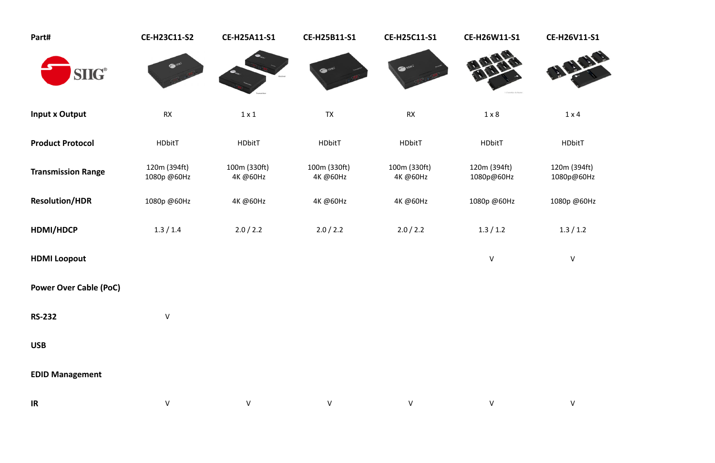# **CE-H23C11-S2 CE-H25A11-S1 CE-H25B11-S1 CE-H25C11-S1 CE-H26W11-S1 CE-H26V11-S1**



| Part#                                        | <b>CE-H23C11-S2</b>         | <b>CE-H25A11-S1</b>      | CE-H25B11-S1             | CE-H25C11-S1             | CE-H26W11-S1               | <b>CE-H26V11</b>       |
|----------------------------------------------|-----------------------------|--------------------------|--------------------------|--------------------------|----------------------------|------------------------|
| $\textbf{S}\textbf{I}\textbf{I}\textbf{G}^*$ | $\bullet$ sing              |                          | Same.                    | <b>SHIPS</b>             |                            |                        |
| <b>Input x Output</b>                        | RX                          | $1 \times 1$             | <b>TX</b>                | RX                       | $1 \times 8$               | $1 \times 4$           |
| <b>Product Protocol</b>                      | <b>HDbitT</b>               | HDbitT                   | <b>HDbitT</b>            | <b>HDbitT</b>            | <b>HDbitT</b>              | <b>HDbitT</b>          |
| <b>Transmission Range</b>                    | 120m (394ft)<br>1080p @60Hz | 100m (330ft)<br>4K @60Hz | 100m (330ft)<br>4K @60Hz | 100m (330ft)<br>4K @60Hz | 120m (394ft)<br>1080p@60Hz | 120m (394f<br>1080p@60 |
| <b>Resolution/HDR</b>                        | 1080p @60Hz                 | 4K @60Hz                 | 4K @60Hz                 | 4K @60Hz                 | 1080p @60Hz                | 1080p @60              |
| HDMI/HDCP                                    | 1.3 / 1.4                   | 2.0 / 2.2                | 2.0 / 2.2                | 2.0 / 2.2                | 1.3 / 1.2                  | 1.3 / 1.2              |
| <b>HDMI Loopout</b>                          |                             |                          |                          |                          | $\sf V$                    | ${\sf V}$              |
| <b>Power Over Cable (PoC)</b>                |                             |                          |                          |                          |                            |                        |
| <b>RS-232</b>                                | $\sf V$                     |                          |                          |                          |                            |                        |
| <b>USB</b>                                   |                             |                          |                          |                          |                            |                        |
| <b>EDID Management</b>                       |                             |                          |                          |                          |                            |                        |
| IR                                           | $\sf V$                     | $\vee$                   | $\vee$                   | $\mathsf{V}$             | $\vee$                     | $\vee$                 |

## 120m (394ft) 1080p@60Hz

1080p @60Hz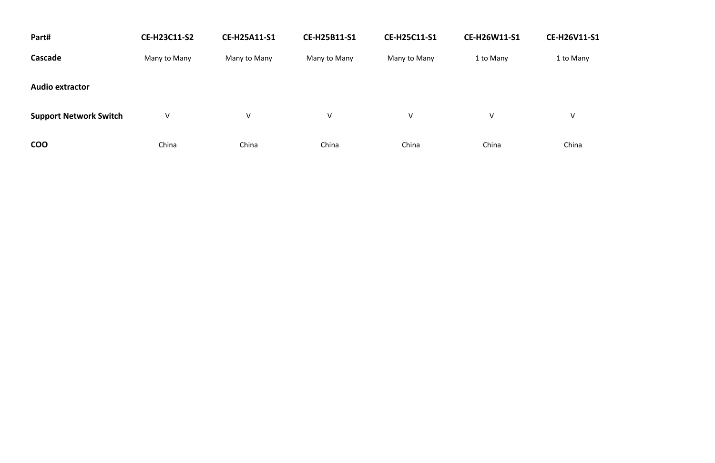| Part#                         | <b>CE-H23C11-S2</b> | <b>CE-H25A11-S1</b> | CE-H25B11-S1 | <b>CE-H25C11-S1</b> | <b>CE-H26W11-S1</b> | CE-H26V11-S1 |
|-------------------------------|---------------------|---------------------|--------------|---------------------|---------------------|--------------|
| Cascade                       | Many to Many        | Many to Many        | Many to Many | Many to Many        | 1 to Many           | 1 to Many    |
| <b>Audio extractor</b>        |                     |                     |              |                     |                     |              |
| <b>Support Network Switch</b> | $\vee$              | $\vee$              | $\mathsf{V}$ | $\vee$              | V                   | V            |
| <b>COO</b>                    | China               | China               | China        | China               | China               | China        |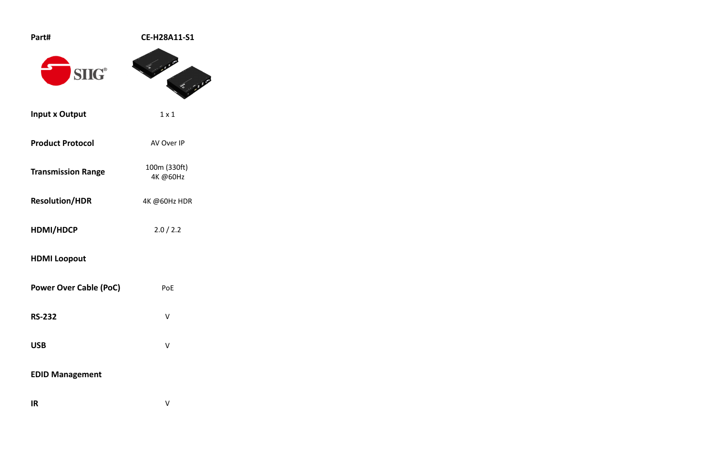| Part#                         | CE-H28A11-S1             |
|-------------------------------|--------------------------|
| SH                            |                          |
| <b>Input x Output</b>         | $1 \times 1$             |
| <b>Product Protocol</b>       | AV Over IP               |
| <b>Transmission Range</b>     | 100m (330ft)<br>4K @60Hz |
| <b>Resolution/HDR</b>         | 4K @60Hz HDR             |
| HDMI/HDCP                     | 2.0 / 2.2                |
| <b>HDMI Loopout</b>           |                          |
| <b>Power Over Cable (PoC)</b> | PoE                      |
| <b>RS-232</b>                 | V                        |
| <b>USB</b>                    | V                        |
| <b>EDID Management</b>        |                          |
| <b>IR</b>                     | $\vee$                   |